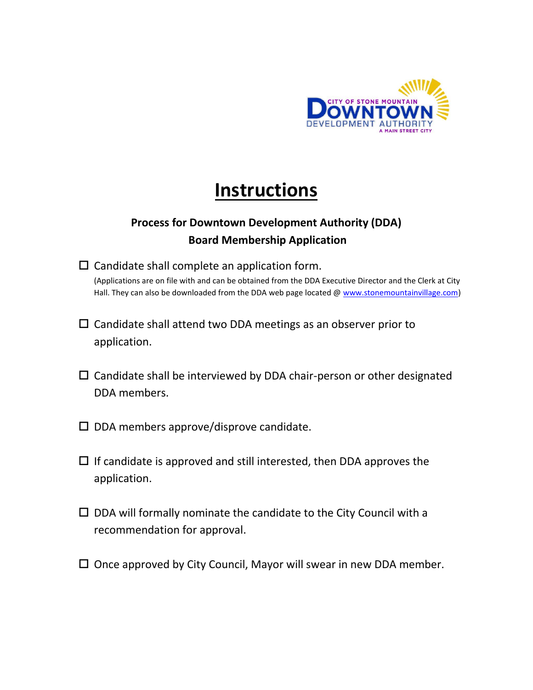

# **Instructions**

# **Process for Downtown Development Authority (DDA) Board Membership Application**

- $\square$  Candidate shall complete an application form. (Applications are on file with and can be obtained from the DDA Executive Director and the Clerk at City Hall. They can also be downloaded from the DDA web page located @ [www.stonemountainvillage.com\)](http://www.stonemountainvillage.com/)
- $\square$  Candidate shall attend two DDA meetings as an observer prior to application.
- $\square$  Candidate shall be interviewed by DDA chair-person or other designated DDA members.
- $\square$  DDA members approve/disprove candidate.
- $\Box$  If candidate is approved and still interested, then DDA approves the application.
- $\square$  DDA will formally nominate the candidate to the City Council with a recommendation for approval.
- $\Box$  Once approved by City Council, Mayor will swear in new DDA member.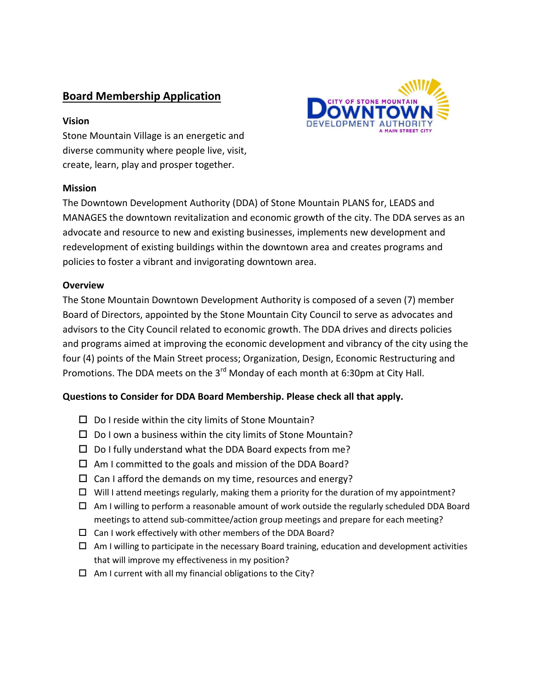## **Board Membership Application**

#### **Vision**

Stone Mountain Village is an energetic and diverse community where people live, visit, create, learn, play and prosper together.

#### **Mission**

The Downtown Development Authority (DDA) of Stone Mountain PLANS for, LEADS and MANAGES the downtown revitalization and economic growth of the city. The DDA serves as an advocate and resource to new and existing businesses, implements new development and redevelopment of existing buildings within the downtown area and creates programs and policies to foster a vibrant and invigorating downtown area.

#### **Overview**

The Stone Mountain Downtown Development Authority is composed of a seven (7) member Board of Directors, appointed by the Stone Mountain City Council to serve as advocates and advisors to the City Council related to economic growth. The DDA drives and directs policies and programs aimed at improving the economic development and vibrancy of the city using the four (4) points of the Main Street process; Organization, Design, Economic Restructuring and Promotions. The DDA meets on the 3<sup>rd</sup> Monday of each month at 6:30pm at City Hall.

#### **Questions to Consider for DDA Board Membership. Please check all that apply.**

- $\square$  Do I reside within the city limits of Stone Mountain?
- $\square$  Do I own a business within the city limits of Stone Mountain?
- $\square$  Do I fully understand what the DDA Board expects from me?
- $\Box$  Am I committed to the goals and mission of the DDA Board?
- $\Box$  Can I afford the demands on my time, resources and energy?
- $\Box$  Will I attend meetings regularly, making them a priority for the duration of my appointment?
- $\Box$  Am I willing to perform a reasonable amount of work outside the regularly scheduled DDA Board meetings to attend sub-committee/action group meetings and prepare for each meeting?
- $\square$  Can I work effectively with other members of the DDA Board?
- $\Box$  Am I willing to participate in the necessary Board training, education and development activities that will improve my effectiveness in my position?
- $\Box$  Am I current with all my financial obligations to the City?